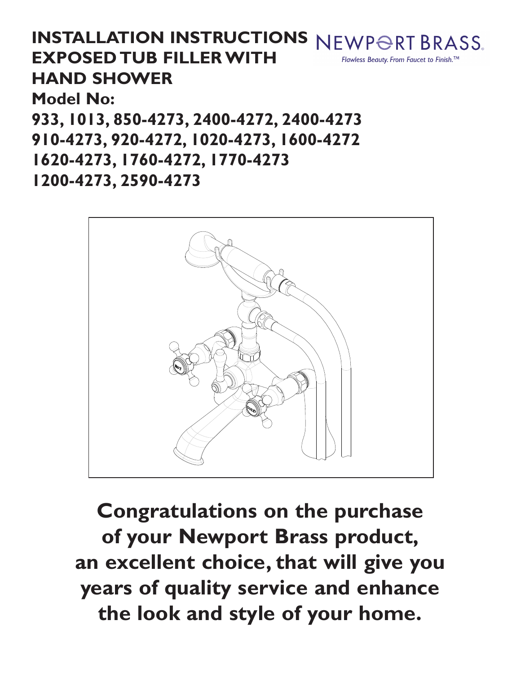**INSTALLATION INSTRUCTIONS** NEWPORT BRASS. **EXPOSED TUB FILLERWITH** Flawless Beauty. From Faucet to Finish.<sup>™</sup> **HAND SHOWER Model No: 933, 1013, 850-4273, 2400-4272, 2400-4273 910-4273, 920-4272, 1020-4273, 1600-4272 1620-4273, 1760-4272, 1770-4273 1200-4273, 2590-4273**



**Congratulations on the purchase of your Newport Brass product, an excellent choice, that will give you years of quality service and enhance the look and style of your home.**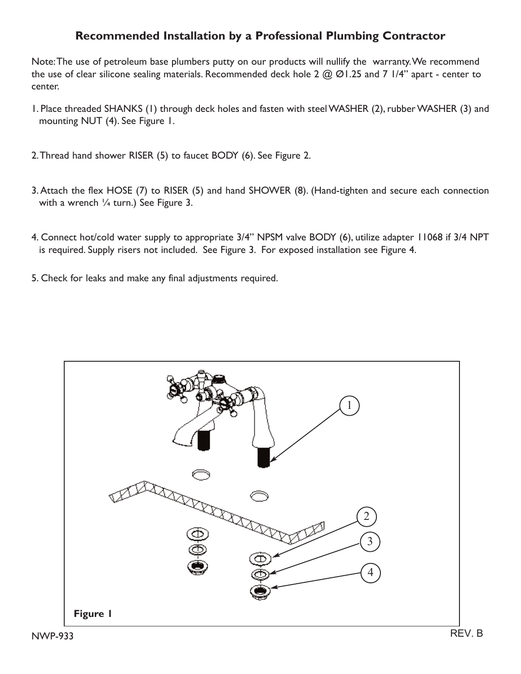## **Recommended Installation by a Professional Plumbing Contractor**

Note: The use of petroleum base plumbers putty on our products will nullify the warranty. We recommend the use of clear silicone sealing materials. Recommended deck hole 2  $@$   $@$  1.25 and 7 1/4" apart - center to center.

- 1. Place threaded SHANKS (1) through deck holes and fasten with steel WASHER (2), rubber WASHER (3) and mounting NUT (4). See Figure 1.
- 2.Thread hand shower RISER (5) to faucet BODY (6). See Figure 2.
- 3. Attach the flex HOSE (7) to RISER (5) and hand SHOWER (8). (Hand-tighten and secure each connection with a wrench 1/4 turn.) See Figure 3.
- 4. Connect hot/cold water supply to appropriate 3/4" NPSM valve BODY (6), utilize adapter 11068 if 3/4 NPT is required. Supply risers not included. See Figure 3. For exposed installation see Figure 4.
- 5. Check for leaks and make any final adjustments required.